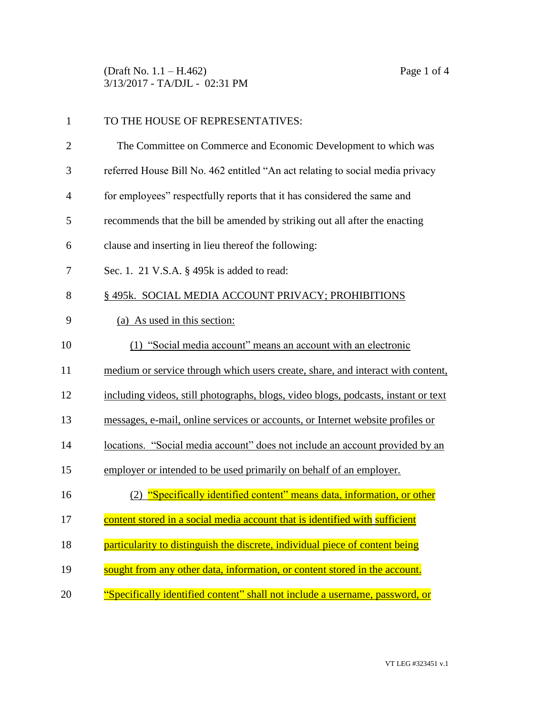(Draft No. 1.1 – H.462) Page 1 of 4 3/13/2017 - TA/DJL - 02:31 PM

| $\mathbf{1}$   | TO THE HOUSE OF REPRESENTATIVES:                                                   |
|----------------|------------------------------------------------------------------------------------|
| $\overline{2}$ | The Committee on Commerce and Economic Development to which was                    |
| 3              | referred House Bill No. 462 entitled "An act relating to social media privacy      |
| $\overline{4}$ | for employees" respectfully reports that it has considered the same and            |
| 5              | recommends that the bill be amended by striking out all after the enacting         |
| 6              | clause and inserting in lieu thereof the following:                                |
| 7              | Sec. 1. 21 V.S.A. § 495k is added to read:                                         |
| 8              | § 495k. SOCIAL MEDIA ACCOUNT PRIVACY; PROHIBITIONS                                 |
| 9              | (a) As used in this section:                                                       |
| 10             | (1) "Social media account" means an account with an electronic                     |
| 11             | medium or service through which users create, share, and interact with content,    |
| 12             | including videos, still photographs, blogs, video blogs, podcasts, instant or text |
| 13             | messages, e-mail, online services or accounts, or Internet website profiles or     |
| 14             | locations. "Social media account" does not include an account provided by an       |
| 15             | employer or intended to be used primarily on behalf of an employer.                |
| 16             | (2) "Specifically identified content" means data, information, or other            |
| 17             | content stored in a social media account that is identified with sufficient        |
| 18             | particularity to distinguish the discrete, individual piece of content being       |
| 19             | sought from any other data, information, or content stored in the account.         |
| 20             | "Specifically identified content" shall not include a username, password, or       |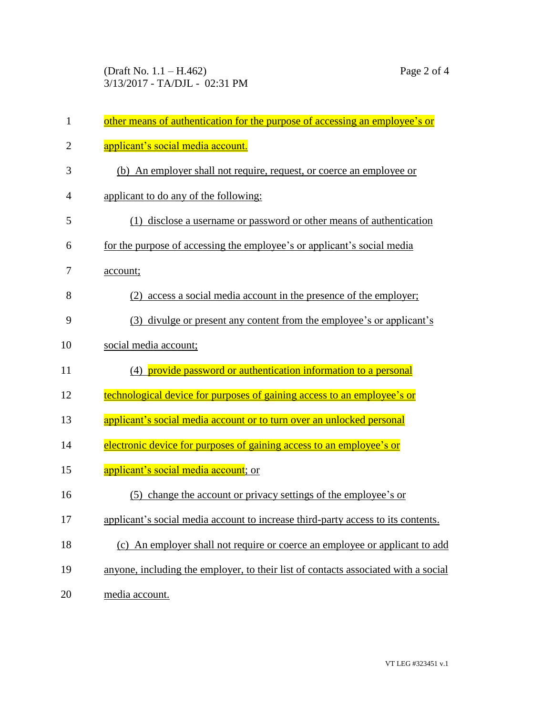| $\mathbf{1}$   | other means of authentication for the purpose of accessing an employee's or        |
|----------------|------------------------------------------------------------------------------------|
| $\overline{c}$ | applicant's social media account.                                                  |
| 3              | (b) An employer shall not require, request, or coerce an employee or               |
| 4              | applicant to do any of the following:                                              |
| 5              | (1) disclose a username or password or other means of authentication               |
| 6              | for the purpose of accessing the employee's or applicant's social media            |
| 7              | account;                                                                           |
| 8              | (2) access a social media account in the presence of the employer;                 |
| 9              | (3) divulge or present any content from the employee's or applicant's              |
| 10             | social media account;                                                              |
| 11             | (4) provide password or authentication information to a personal                   |
| 12             | technological device for purposes of gaining access to an employee's or            |
| 13             | applicant's social media account or to turn over an unlocked personal              |
| 14             | electronic device for purposes of gaining access to an employee's or               |
| 15             | applicant's social media account; or                                               |
| 16             | (5) change the account or privacy settings of the employee's or                    |
| 17             | applicant's social media account to increase third-party access to its contents.   |
| 18             | (c) An employer shall not require or coerce an employee or applicant to add        |
| 19             | anyone, including the employer, to their list of contacts associated with a social |
| 20             | media account.                                                                     |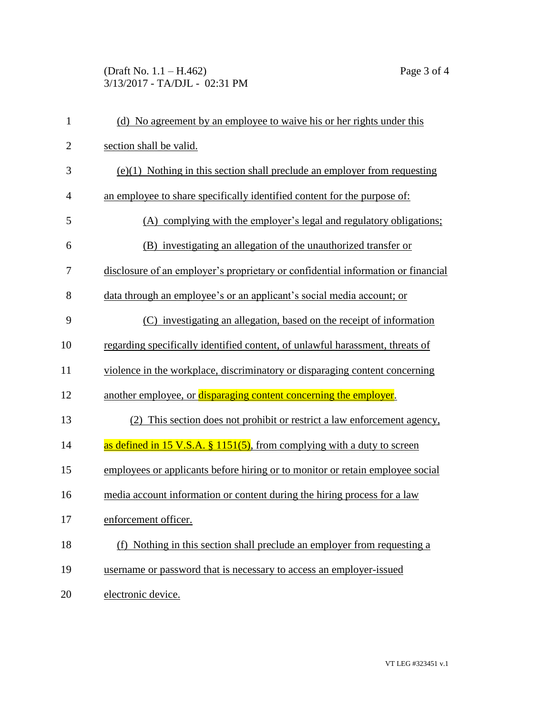## (Draft No. 1.1 – H.462) Page 3 of 4 3/13/2017 - TA/DJL - 02:31 PM

| $\mathbf{1}$   | (d) No agreement by an employee to waive his or her rights under this            |
|----------------|----------------------------------------------------------------------------------|
| $\mathbf{2}$   | section shall be valid.                                                          |
| 3              | $(e)(1)$ Nothing in this section shall preclude an employer from requesting      |
| $\overline{4}$ | an employee to share specifically identified content for the purpose of:         |
| 5              | (A) complying with the employer's legal and regulatory obligations;              |
| 6              | (B) investigating an allegation of the unauthorized transfer or                  |
| 7              | disclosure of an employer's proprietary or confidential information or financial |
| 8              | data through an employee's or an applicant's social media account; or            |
| 9              | (C) investigating an allegation, based on the receipt of information             |
| 10             | regarding specifically identified content, of unlawful harassment, threats of    |
| 11             | violence in the workplace, discriminatory or disparaging content concerning      |
| 12             | another employee, or disparaging content concerning the employer.                |
| 13             | (2) This section does not prohibit or restrict a law enforcement agency,         |
| 14             | as defined in 15 V.S.A. § 1151(5), from complying with a duty to screen          |
| 15             | employees or applicants before hiring or to monitor or retain employee social    |
| 16             | media account information or content during the hiring process for a law         |
| 17             | enforcement officer.                                                             |
| 18             | (f) Nothing in this section shall preclude an employer from requesting a         |
| 19             | username or password that is necessary to access an employer-issued              |
| 20             | electronic device.                                                               |